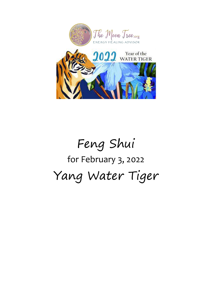

# Feng Shui for February 3, 2022 Yang Water Tiger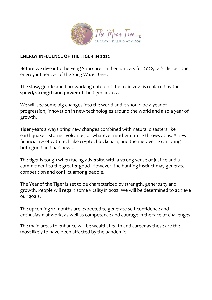

#### **ENERGY INFLUENCE OF THE TIGER IN 2022**

Before we dive into the Feng Shui cures and enhancers for 2022, let's discuss the energy influences of the *Yang Water Tiger.*

The slow, gentle and hardworking nature of the ox in 2021 is replaced by the **speed, strength and power** of the tiger in 2022.

We will see some big changes into the world and it should be a year of progression, innovation in new technologies around the world and also a year of growth.

Tiger years always bring new changes combined with natural disasters like earthquakes, storms, volcanos, or whatever mother nature throws at us. A new financial reset with tech like crypto, blockchain, and the metaverse can bring both good and bad news.

The tiger is tough when facing adversity, with a strong sense of justice and a commitment to the greater good. However, the hunting instinct may generate competition and conflict among people.

The Year of the Tiger is set to be characterized by strength, generosity and growth. People will regain some vitality in 2022. We will be determined to achieve our goals.

The upcoming 12 months are expected to generate self-confidence and enthusiasm at work, as well as competence and courage in the face of challenges.

The main areas to enhance will be wealth, health and career as these are the most likely to have been affected by the pandemic.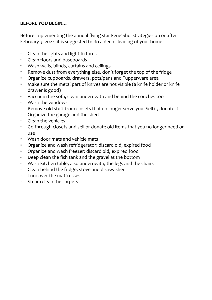#### **BEFORE YOU BEGIN…**

Before implementing the annual flying star Feng Shui strategies on or after February 3, 2022, it is suggested to do a deep cleaning of your home:

- Clean the lights and light fixtures  $\Diamond$
- $\circ$  Clean floors and baseboards
- $\Diamond$ Wash walls, blinds, curtains and ceilings
- $\Diamond$ Remove dust from everything else, don't forget the top of the fridge
- Organize cupboards, drawers, pots/pans and Tupperware area  $\Diamond$
- Make sure the metal part of knives are not visible (a knife holder or knife  $\Diamond$ drawer is good)
- Vaccuum the sofa, clean underneath and behind the couches too  $\Diamond$
- Wash the windows  $\Diamond$
- $\Diamond$ Remove old stuff from closets that no longer serve you. Sell it, donate it
- $\Diamond$ Organize the garage and the shed
- Clean the vehicles  $\begin{array}{ccc} \diamond & \diamond & \circ \end{array}$
- Go through closets and sell or donate old items that you no longer need or  $\Diamond$ use
- Wash door mats and vehicle mats  $\Diamond$
- Organize and wash refridgerator: discard old, expired food  $\Diamond$
- Organize and wash freezer: discard old, expired food  $\Diamond$
- Deep clean the fish tank and the gravel at the bottom  $\Diamond$
- $\Diamond$ Wash kitchen table, also underneath, the legs and the chairs
- $\Diamond$ Clean behind the fridge, stove and dishwasher
- Turn over the mattresses  $\Diamond$
- $\circ$  Steam clean the carpets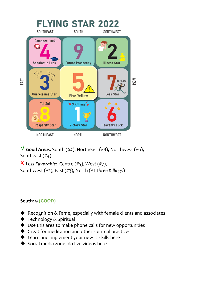

**√** *Good Areas*: South (9#), Northeast (#8), Northwest (#6), Southeast (#4)

X *Less Favorable:* Centre (#5), West (#7), Southwest (#2), East (#3), North (#1 T*hree Killings*)

## **South: 9 (GOOD)**

- ◆ Recognition & Fame, especially with female clients and associates
- ◆ Technology & Spiritual
- ♦ Use this area to make phone calls for new opportunities
- Great for meditation and other spiritual practices
- ◆ Learn and implement your new IT skills here
- $\blacklozenge$  Social media zone, do live videos here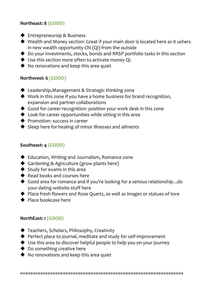#### **Northeast: 8 (GOOD)**

- ◆ Entrepreneursip & Business
- ◆ Wealth and Money section: Great if your main door is located here as it ushers in new wealth opportunity Chi (Qi) from the outside
- ◆ Do your investments, stocks, bonds and RRSP portfolio tasks in this section
- ◆ Use this section more often to activate money Qi.
- ◆ No renovations and keep this area quiet

#### **Northwest: 6 (GOOD)**

- ◆ Leadership, Management & Strategic thinking zone
- ◆ Work in this zone if you have a home business for brand recognition, expansion and partner collaborations
- Good for career recognition: position your work desk in this zone
- ◆ Look for career opportunities while sitting in this area
- **◆** Promotion: success in career
- ◆ Sleep here for healing of minor illnesses and ailments

## **Southeast: 4 (GOOD)**

- ◆ Education, Writing and Journalism, Romance zone
- ◆ Gardening & Agriculture (grow plants here)
- $\blacklozenge$  Study for exams in this area
- $\blacklozenge$  Read books and courses here
- ◆ Good area for romance and if you're looking for a serious relationship...do your dating website stuff here
- ◆ Place fresh flowers and Rose Quartz, as well as images or statues of love
- ◆ Place bookcase here

## **NorthEast: 1 (GOOD)**

- ◆ Teachers, Scholars, Philosophy, Creativity
- ◆ Perfect place to journal, meditate and study for self-improvement
- ◆ Use this area to discover helpful people to help you on your journey
- ◆ Do something creative here
- ◆ No renovations and keep this area quiet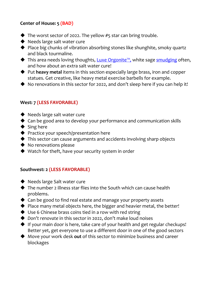## **Center of House: 5 (BAD)**

- $\blacklozenge$  The worst sector of 2022. The yellow #5 star can bring trouble.
- ◆ Needs large salt water cure
- ◆ Place big chunks of vibration absorbing stones like shunghite, smoky quartz and black tourmaline.
- ◆ This area needs loving thoughts, Luxe [Orgonite](http://www.themoontree.org/products-services/)<sup>™</sup>, white sage [smudging](https://www.amazon.ca/gp/product/B01MU9PVB6/ref=as_li_ss_tl?ie=UTF8&linkCode=sl1&tag=themoontreedo-20&linkId=1c74f3208e3b15a8f2419d67a544aa6b") often, and how about an extra salt water cure!
- Put **heavy metal** items in this section especially large brass, iron and copper statues. Get creative, like heavy metal exercise barbells for example.
- ◆ No renovations in this sector for 2022, and don't sleep here if you can help it!

## **West: 7 (LESS FAVORABLE)**

- ◆ Needs large salt water cure
- ◆ Can be good area to develop your performance and communication skills
- $\blacklozenge$  Sing here
- ◆ Practice your speech/presentation here
- This sector can cause arguments and accidents involving sharp objects
- ◆ No renovations please
- ◆ Watch for theft, have your security system in order

#### **Southwest: 2 (LESS FAVORABLE)**

- ◆ Needs large Salt water cure
- ◆ The number 2 illness star flies into the South which can cause health problems.
- $\triangle$  Can be good to find real estate and manage your property assets
- $\blacklozenge$  Place many metal objects here, the bigger and heavier metal, the better!
- ◆ Use 6 Chinese brass coins tied in a row with red string
- ◆ Don't renovate in this sector in 2022, don't make loud noises
- If your main door is here, take care of your health and get regular checkups! Better yet, get everyone to use a different door in one of the good sectors
- Move your work desk **out** of this sector to minimize business and career blockages